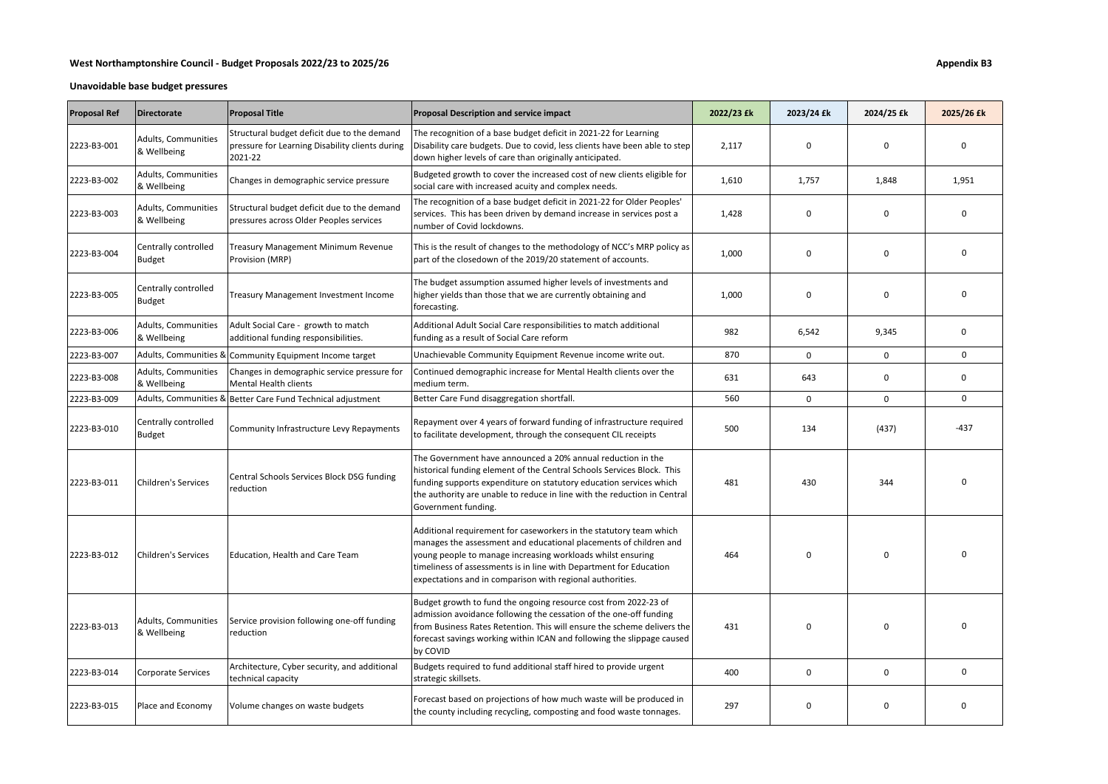## **West Northamptonshire Council - Budget Proposals 2022/23 to 2025/26 Appendix B3**

| <b>Proposal Ref</b> | <b>Directorate</b>                    | <b>Proposal Title</b>                                                                                     | Proposal Description and service impact                                                                                                                                                                                                                                                                                                   | 2022/23 £k | 2023/24 £k  | 2024/25 £k  | 2025/26 £k  |
|---------------------|---------------------------------------|-----------------------------------------------------------------------------------------------------------|-------------------------------------------------------------------------------------------------------------------------------------------------------------------------------------------------------------------------------------------------------------------------------------------------------------------------------------------|------------|-------------|-------------|-------------|
| 2223-B3-001         | Adults, Communities<br>& Wellbeing    | Structural budget deficit due to the demand<br>pressure for Learning Disability clients during<br>2021-22 | The recognition of a base budget deficit in 2021-22 for Learning<br>Disability care budgets. Due to covid, less clients have been able to step<br>down higher levels of care than originally anticipated.                                                                                                                                 | 2,117      | $\mathbf 0$ | 0           | $\mathbf 0$ |
| 2223-B3-002         | Adults, Communities<br>& Wellbeing    | Changes in demographic service pressure                                                                   | Budgeted growth to cover the increased cost of new clients eligible for<br>social care with increased acuity and complex needs.                                                                                                                                                                                                           | 1,610      | 1,757       | 1,848       | 1,951       |
| 2223-B3-003         | Adults, Communities<br>& Wellbeing    | Structural budget deficit due to the demand<br>pressures across Older Peoples services                    | The recognition of a base budget deficit in 2021-22 for Older Peoples'<br>services. This has been driven by demand increase in services post a<br>number of Covid lockdowns.                                                                                                                                                              | 1,428      | $\mathbf 0$ | 0           | 0           |
| 2223-B3-004         | Centrally controlled<br><b>Budget</b> | Treasury Management Minimum Revenue<br>Provision (MRP)                                                    | This is the result of changes to the methodology of NCC's MRP policy as<br>part of the closedown of the 2019/20 statement of accounts.                                                                                                                                                                                                    | 1,000      | $\mathbf 0$ | $\mathbf 0$ | $\mathbf 0$ |
| 2223-B3-005         | Centrally controlled<br>Budget        | Treasury Management Investment Income                                                                     | The budget assumption assumed higher levels of investments and<br>higher yields than those that we are currently obtaining and<br>forecasting.                                                                                                                                                                                            | 1,000      | $\mathbf 0$ | $\pmb{0}$   | 0           |
| 2223-B3-006         | Adults, Communities<br>& Wellbeing    | Adult Social Care - growth to match<br>additional funding responsibilities.                               | Additional Adult Social Care responsibilities to match additional<br>funding as a result of Social Care reform                                                                                                                                                                                                                            | 982        | 6,542       | 9,345       | $\mathbf 0$ |
| 2223-B3-007         |                                       | Adults, Communities & Community Equipment Income target                                                   | Unachievable Community Equipment Revenue income write out.                                                                                                                                                                                                                                                                                | 870        | $\mathbf 0$ | $\mathbf 0$ | $\Omega$    |
| 2223-B3-008         | Adults, Communities<br>& Wellbeing    | Changes in demographic service pressure for<br><b>Mental Health clients</b>                               | Continued demographic increase for Mental Health clients over the<br>medium term.                                                                                                                                                                                                                                                         | 631        | 643         | $\Omega$    | $\Omega$    |
| 2223-B3-009         |                                       | Adults, Communities & Better Care Fund Technical adjustment                                               | Better Care Fund disaggregation shortfall.                                                                                                                                                                                                                                                                                                | 560        | $\mathsf 0$ | 0           | $\mathbf 0$ |
| 2223-B3-010         | Centrally controlled<br><b>Budget</b> | Community Infrastructure Levy Repayments                                                                  | Repayment over 4 years of forward funding of infrastructure required<br>to facilitate development, through the consequent CIL receipts                                                                                                                                                                                                    | 500        | 134         | (437)       | $-437$      |
| 2223-B3-011         | <b>Children's Services</b>            | Central Schools Services Block DSG funding<br>reduction                                                   | The Government have announced a 20% annual reduction in the<br>historical funding element of the Central Schools Services Block. This<br>funding supports expenditure on statutory education services which<br>the authority are unable to reduce in line with the reduction in Central<br>Government funding.                            | 481        | 430         | 344         | 0           |
| 2223-B3-012         | <b>Children's Services</b>            | Education, Health and Care Team                                                                           | Additional requirement for caseworkers in the statutory team which<br>manages the assessment and educational placements of children and<br>young people to manage increasing workloads whilst ensuring<br>timeliness of assessments is in line with Department for Education<br>expectations and in comparison with regional authorities. | 464        | $\mathbf 0$ | $\mathbf 0$ | 0           |
| 2223-B3-013         | Adults, Communities<br>& Wellbeing    | Service provision following one-off funding<br>reduction                                                  | Budget growth to fund the ongoing resource cost from 2022-23 of<br>admission avoidance following the cessation of the one-off funding<br>from Business Rates Retention. This will ensure the scheme delivers the<br>forecast savings working within ICAN and following the slippage caused<br>by COVID                                    | 431        | $\mathbf 0$ | $\mathbf 0$ | 0           |
| 2223-B3-014         | Corporate Services                    | Architecture, Cyber security, and additional<br>technical capacity                                        | Budgets required to fund additional staff hired to provide urgent<br>strategic skillsets.                                                                                                                                                                                                                                                 | 400        | $\mathbf 0$ | $\mathbf 0$ | $\mathbf 0$ |
| 2223-B3-015         | Place and Economy                     | Volume changes on waste budgets                                                                           | Forecast based on projections of how much waste will be produced in<br>the county including recycling, composting and food waste tonnages.                                                                                                                                                                                                | 297        | $\mathbf 0$ | $\mathbf 0$ | $\mathbf 0$ |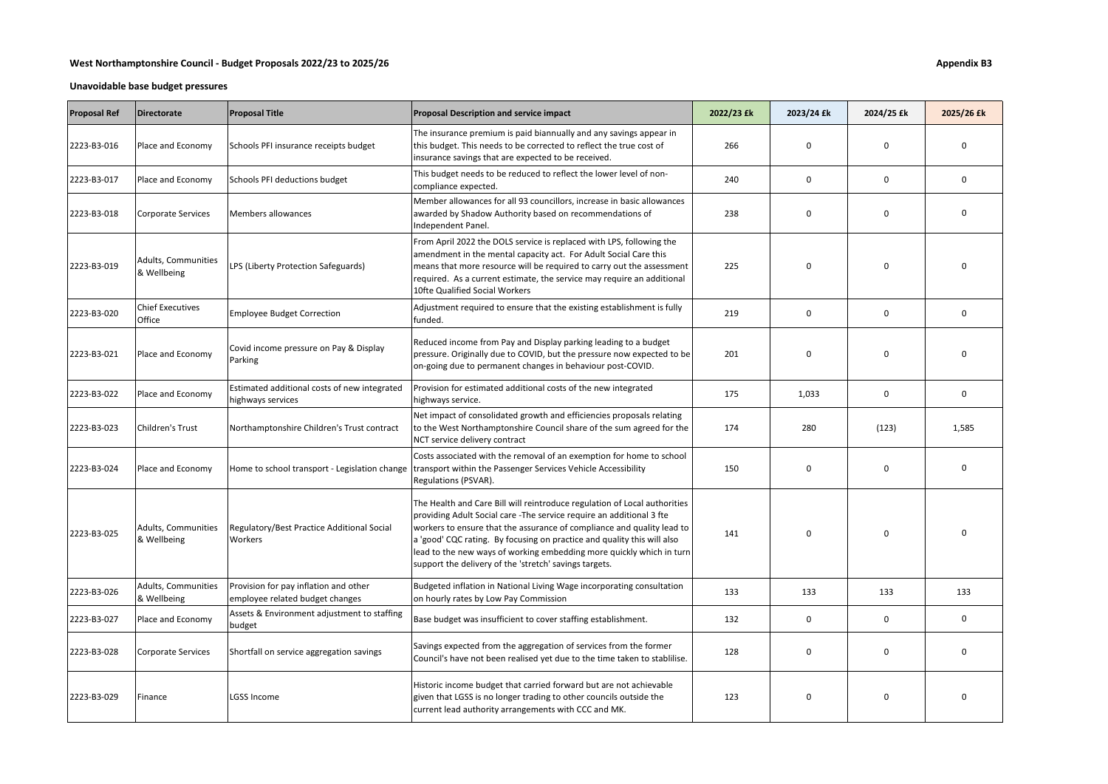# West Northamptonshire Council - Budget Proposals 2022/23 to 2025/26

| <b>Proposal Ref</b> | <b>Directorate</b>                        | <b>Proposal Title</b>                                                    | Proposal Description and service impact                                                                                                                                                                                                                                                                                                                                                                                                   | 2022/23 £k | 2023/24 £k  | 2024/25 £k  | 2025/26 £k  |
|---------------------|-------------------------------------------|--------------------------------------------------------------------------|-------------------------------------------------------------------------------------------------------------------------------------------------------------------------------------------------------------------------------------------------------------------------------------------------------------------------------------------------------------------------------------------------------------------------------------------|------------|-------------|-------------|-------------|
| 2223-B3-016         | Place and Economy                         | Schools PFI insurance receipts budget                                    | The insurance premium is paid biannually and any savings appear in<br>this budget. This needs to be corrected to reflect the true cost of<br>insurance savings that are expected to be received.                                                                                                                                                                                                                                          | 266        | $\mathsf 0$ | $\mathbf 0$ | 0           |
| 2223-B3-017         | Place and Economy                         | Schools PFI deductions budget                                            | This budget needs to be reduced to reflect the lower level of non-<br>compliance expected.                                                                                                                                                                                                                                                                                                                                                | 240        | $\mathsf 0$ | $\pmb{0}$   | $\mathbf 0$ |
| 2223-B3-018         | <b>Corporate Services</b>                 | Members allowances                                                       | Member allowances for all 93 councillors, increase in basic allowances<br>awarded by Shadow Authority based on recommendations of<br>Independent Panel.                                                                                                                                                                                                                                                                                   | 238        | $\mathbf 0$ | $\mathbf 0$ | $\mathbf 0$ |
| 2223-B3-019         | <b>Adults, Communities</b><br>& Wellbeing | LPS (Liberty Protection Safeguards)                                      | From April 2022 the DOLS service is replaced with LPS, following the<br>amendment in the mental capacity act. For Adult Social Care this<br>means that more resource will be required to carry out the assessment<br>required. As a current estimate, the service may require an additional<br>10fte Qualified Social Workers                                                                                                             | 225        | $\Omega$    | $\mathbf 0$ | $\Omega$    |
| 2223-B3-020         | <b>Chief Executives</b><br>Office         | <b>Employee Budget Correction</b>                                        | Adjustment required to ensure that the existing establishment is fully<br>funded.                                                                                                                                                                                                                                                                                                                                                         | 219        | $\pmb{0}$   | $\mathbf 0$ | $\mathbf 0$ |
| 2223-B3-021         | Place and Economy                         | Covid income pressure on Pay & Display<br>Parking                        | Reduced income from Pay and Display parking leading to a budget<br>pressure. Originally due to COVID, but the pressure now expected to be<br>on-going due to permanent changes in behaviour post-COVID.                                                                                                                                                                                                                                   | 201        | $\mathbf 0$ | $\mathbf 0$ | $\mathbf 0$ |
| 2223-B3-022         | Place and Economy                         | Estimated additional costs of new integrated<br>highways services        | Provision for estimated additional costs of the new integrated<br>highways service.                                                                                                                                                                                                                                                                                                                                                       | 175        | 1,033       | 0           | $\mathbf 0$ |
| 2223-B3-023         | Children's Trust                          | Northamptonshire Children's Trust contract                               | Net impact of consolidated growth and efficiencies proposals relating<br>to the West Northamptonshire Council share of the sum agreed for the<br>NCT service delivery contract                                                                                                                                                                                                                                                            | 174        | 280         | (123)       | 1,585       |
| 2223-B3-024         | Place and Economy                         | Home to school transport - Legislation change                            | Costs associated with the removal of an exemption for home to school<br>transport within the Passenger Services Vehicle Accessibility<br>Regulations (PSVAR).                                                                                                                                                                                                                                                                             | 150        | $\mathbf 0$ | $\mathbf 0$ | $\mathbf 0$ |
| 2223-B3-025         | Adults, Communities<br>& Wellbeing        | Regulatory/Best Practice Additional Social<br>Workers                    | The Health and Care Bill will reintroduce regulation of Local authorities<br>providing Adult Social care - The service require an additional 3 fte<br>workers to ensure that the assurance of compliance and quality lead to<br>a 'good' CQC rating. By focusing on practice and quality this will also<br>lead to the new ways of working embedding more quickly which in turn<br>support the delivery of the 'stretch' savings targets. | 141        | $\Omega$    | $\mathbf 0$ | $\Omega$    |
| 2223-B3-026         | Adults, Communities<br>& Wellbeing        | Provision for pay inflation and other<br>employee related budget changes | Budgeted inflation in National Living Wage incorporating consultation<br>on hourly rates by Low Pay Commission                                                                                                                                                                                                                                                                                                                            | 133        | 133         | 133         | 133         |
| 2223-B3-027         | Place and Economy                         | Assets & Environment adjustment to staffing<br>budget                    | Base budget was insufficient to cover staffing establishment.                                                                                                                                                                                                                                                                                                                                                                             | 132        | $\pmb{0}$   | $\mathbf 0$ | $\mathbf 0$ |
| 2223-B3-028         | <b>Corporate Services</b>                 | Shortfall on service aggregation savings                                 | Savings expected from the aggregation of services from the former<br>Council's have not been realised yet due to the time taken to stablilise.                                                                                                                                                                                                                                                                                            | 128        | $\pmb{0}$   | $\mathbf 0$ | $\mathbf 0$ |
| 2223-B3-029         | Finance                                   | <b>LGSS Income</b>                                                       | Historic income budget that carried forward but are not achievable<br>given that LGSS is no longer trading to other councils outside the<br>current lead authority arrangements with CCC and MK.                                                                                                                                                                                                                                          | 123        | $\mathbf 0$ | $\mathbf 0$ | $\mathbf 0$ |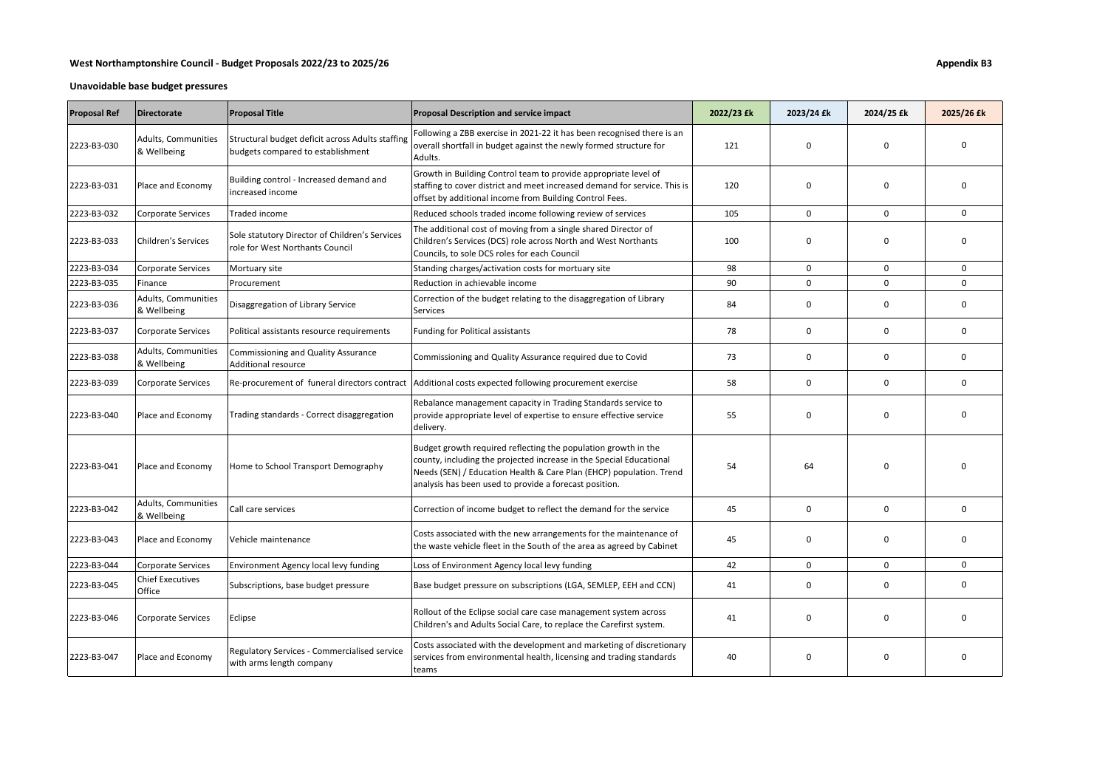## **West Northamptonshire Council - Budget Proposals 2022/23 to 2025/26 Appendix B3**

| <b>Proposal Ref</b> | <b>Directorate</b>                 | <b>Proposal Title</b>                                                                 | Proposal Description and service impact                                                                                                                                                                                                                                | 2022/23 £k | 2023/24 £k  | 2024/25 £k   | 2025/26 £k  |
|---------------------|------------------------------------|---------------------------------------------------------------------------------------|------------------------------------------------------------------------------------------------------------------------------------------------------------------------------------------------------------------------------------------------------------------------|------------|-------------|--------------|-------------|
| 2223-B3-030         | Adults, Communities<br>& Wellbeing | Structural budget deficit across Adults staffing<br>budgets compared to establishment | Following a ZBB exercise in 2021-22 it has been recognised there is an<br>overall shortfall in budget against the newly formed structure for<br>Adults.                                                                                                                | 121        | $\mathbf 0$ | $\mathbf 0$  | 0           |
| 2223-B3-031         | Place and Economy                  | Building control - Increased demand and<br>increased income                           | Growth in Building Control team to provide appropriate level of<br>staffing to cover district and meet increased demand for service. This is<br>offset by additional income from Building Control Fees.                                                                | 120        | 0           | $\mathbf 0$  | 0           |
| 2223-B3-032         | <b>Corporate Services</b>          | Traded income                                                                         | Reduced schools traded income following review of services                                                                                                                                                                                                             | 105        | $\mathbf 0$ | $\mathbf 0$  | $\mathbf 0$ |
| 2223-B3-033         | <b>Children's Services</b>         | Sole statutory Director of Children's Services<br>role for West Northants Council     | The additional cost of moving from a single shared Director of<br>Children's Services (DCS) role across North and West Northants<br>Councils, to sole DCS roles for each Council                                                                                       | 100        | 0           | $\mathbf 0$  | $\mathbf 0$ |
| 2223-B3-034         | <b>Corporate Services</b>          | Mortuary site                                                                         | Standing charges/activation costs for mortuary site                                                                                                                                                                                                                    | 98         | $\mathbf 0$ | $\mathbf 0$  | $\Omega$    |
| 2223-B3-035         | Finance                            | Procurement                                                                           | Reduction in achievable income                                                                                                                                                                                                                                         | 90         | $\mathbf 0$ | $\mathbf 0$  | $\mathbf 0$ |
| 2223-B3-036         | Adults, Communities<br>& Wellbeing | Disaggregation of Library Service                                                     | Correction of the budget relating to the disaggregation of Library<br>Services                                                                                                                                                                                         | 84         | $\mathbf 0$ | $\mathbf 0$  | 0           |
| 2223-B3-037         | <b>Corporate Services</b>          | Political assistants resource requirements                                            | <b>Funding for Political assistants</b>                                                                                                                                                                                                                                | 78         | $\mathbf 0$ | $\mathbf 0$  | $\mathbf 0$ |
| 2223-B3-038         | Adults, Communities<br>& Wellbeing | Commissioning and Quality Assurance<br>Additional resource                            | Commissioning and Quality Assurance required due to Covid                                                                                                                                                                                                              | 73         | $\mathbf 0$ | $\mathbf 0$  | $\Omega$    |
| 2223-B3-039         | Corporate Services                 |                                                                                       | Re-procurement of funeral directors contract   Additional costs expected following procurement exercise                                                                                                                                                                | 58         | $\mathbf 0$ | $\mathbf 0$  | 0           |
| 2223-B3-040         | Place and Economy                  | Trading standards - Correct disaggregation                                            | Rebalance management capacity in Trading Standards service to<br>provide appropriate level of expertise to ensure effective service<br>delivery.                                                                                                                       | 55         | $\mathbf 0$ | $\mathbf{0}$ | 0           |
| 2223-B3-041         | Place and Economy                  | Home to School Transport Demography                                                   | Budget growth required reflecting the population growth in the<br>county, including the projected increase in the Special Educational<br>Needs (SEN) / Education Health & Care Plan (EHCP) population. Trend<br>analysis has been used to provide a forecast position. | 54         | 64          | $\mathbf 0$  | $\Omega$    |
| 2223-B3-042         | Adults, Communities<br>& Wellbeing | Call care services                                                                    | Correction of income budget to reflect the demand for the service                                                                                                                                                                                                      | 45         | $\mathbf 0$ | $\mathbf 0$  | $\Omega$    |
| 2223-B3-043         | Place and Economy                  | Vehicle maintenance                                                                   | Costs associated with the new arrangements for the maintenance of<br>the waste vehicle fleet in the South of the area as agreed by Cabinet                                                                                                                             | 45         | 0           | $\mathbf 0$  | 0           |
| 2223-B3-044         | <b>Corporate Services</b>          | Environment Agency local levy funding                                                 | Loss of Environment Agency local levy funding                                                                                                                                                                                                                          | 42         | $\mathbf 0$ | $\mathbf 0$  | $\mathbf 0$ |
| 2223-B3-045         | <b>Chief Executives</b><br>Office  | Subscriptions, base budget pressure                                                   | Base budget pressure on subscriptions (LGA, SEMLEP, EEH and CCN)                                                                                                                                                                                                       | 41         | $\mathbf 0$ | $\Omega$     | $\Omega$    |
| 2223-B3-046         | <b>Corporate Services</b>          | Eclipse                                                                               | Rollout of the Eclipse social care case management system across<br>Children's and Adults Social Care, to replace the Carefirst system.                                                                                                                                | 41         | $\mathbf 0$ | $\mathbf 0$  | $\Omega$    |
| 2223-B3-047         | Place and Economy                  | Regulatory Services - Commercialised service<br>with arms length company              | Costs associated with the development and marketing of discretionary<br>services from environmental health, licensing and trading standards<br>teams                                                                                                                   | 40         | $\mathbf 0$ | $\mathbf 0$  | 0           |